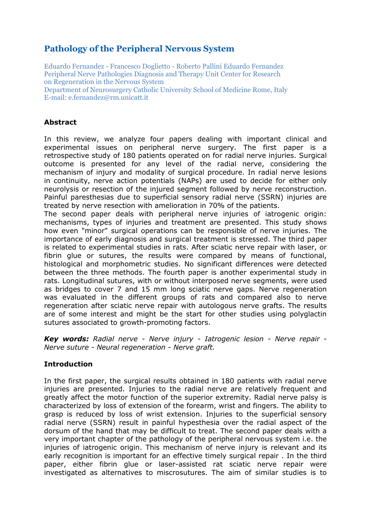# **Pathology of the Peripheral Nervous System**

Eduardo Fernandez - Francesco Doglietto - Roberto Pallini Eduardo Fernandez Peripheral Nerve Pathologies Diagnosis and Therapy Unit Center for Research on Regeneration in the Nervous System Department of Neurosurgery Catholic University School of Medicine Rome, Italy E-mail: e.fernandez@rm.unicatt.it

## **Abstract**

In this review, we analyze four papers dealing with important clinical and experimental issues on peripheral nerve surgery. The first paper is a retrospective study of 180 patients operated on for radial nerve injuries. Surgical outcome is presented for any level of the radial nerve, considering the mechanism of injury and modality of surgical procedure. In radial nerve lesions in continuity, nerve action potentials (NAPs) are used to decide for either only neurolysis or resection of the injured segment followed by nerve reconstruction. Painful paresthesias due to superficial sensory radial nerve (SSRN) injuries are treated by nerve resection with amelioration in 70% of the patients.

The second paper deals with peripheral nerve injuries of iatrogenic origin: mechanisms, types of injuries and treatment are presented. This study shows how even "minor" surgical operations can be responsible of nerve injuries. The importance of early diagnosis and surgical treatment is stressed. The third paper is related to experimental studies in rats. After sciatic nerve repair with laser, or fibrin glue or sutures, the results were compared by means of functional, histological and morphometric studies. No significant differences were detected between the three methods. The fourth paper is another experimental study in rats. Longitudinal sutures, with or without interposed nerve segments, were used as bridges to cover 7 and 15 mm long sciatic nerve gaps. Nerve regeneration was evaluated in the different groups of rats and compared also to nerve regeneration after sciatic nerve repair with autologous nerve grafts. The results are of some interest and might be the start for other studies using polyglactin sutures associated to growth-promoting factors.

*Key words: Radial nerve - Nerve injury - Iatrogenic lesion - Nerve repair - Nerve suture - Neural regeneration - Nerve graft.*

## **Introduction**

In the first paper, the surgical results obtained in 180 patients with radial nerve injuries are presented. Injuries to the radial nerve are relatively frequent and greatly affect the motor function of the superior extremity. Radial nerve palsy is characterized by loss of extension of the forearm, wrist and fingers. The ability to grasp is reduced by loss of wrist extension. Injuries to the superficial sensory radial nerve (SSRN) result in painful hypesthesia over the radial aspect of the dorsum of the hand that may be difficult to treat. The second paper deals with a very important chapter of the pathology of the peripheral nervous system i.e. the injuries of iatrogenic origin. This mechanism of nerve injury is relevant and its early recognition is important for an effective timely surgical repair . In the third paper, either fibrin glue or laser-assisted rat sciatic nerve repair were investigated as alternatives to miscrosutures. The aim of similar studies is to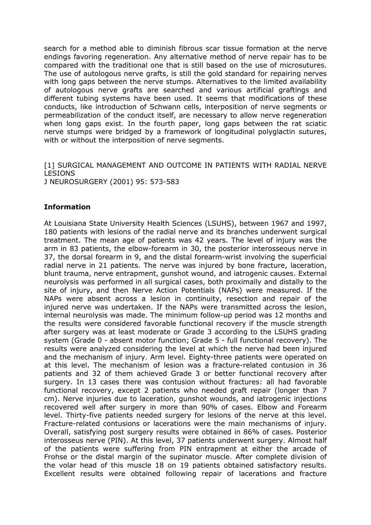search for a method able to diminish fibrous scar tissue formation at the nerve endings favoring regeneration. Any alternative method of nerve repair has to be compared with the traditional one that is still based on the use of microsutures. The use of autologous nerve grafts, is still the gold standard for repairing nerves with long gaps between the nerve stumps. Alternatives to the limited availability of autologous nerve grafts are searched and various artificial graftings and different tubing systems have been used. It seems that modifications of these conducts, like introduction of Schwann cells, interposition of nerve segments or permeabilization of the conduct itself, are necessary to allow nerve regeneration when long gaps exist. In the fourth paper, long gaps between the rat sciatic nerve stumps were bridged by a framework of longitudinal polyglactin sutures, with or without the interposition of nerve segments.

[1] SURGICAL MANAGEMENT AND OUTCOME IN PATIENTS WITH RADIAL NERVE LESIONS J NEUROSURGERY (2001) 95: 573-583

#### **Information**

At Louisiana State University Health Sciences (LSUHS), between 1967 and 1997, 180 patients with lesions of the radial nerve and its branches underwent surgical treatment. The mean age of patients was 42 years. The level of injury was the arm in 83 patients, the elbow-forearm in 30, the posterior interosseous nerve in 37, the dorsal forearm in 9, and the distal forearm-wrist involving the superficial radial nerve in 21 patients. The nerve was injured by bone fracture, laceration, blunt trauma, nerve entrapment, gunshot wound, and iatrogenic causes. External neurolysis was performed in all surgical cases, both proximally and distally to the site of injury, and then Nerve Action Potentials (NAPs) were measured. If the NAPs were absent across a lesion in continuity, resection and repair of the injured nerve was undertaken. If the NAPs were transmitted across the lesion, internal neurolysis was made. The minimum follow-up period was 12 months and the results were considered favorable functional recovery if the muscle strength after surgery was at least moderate or Grade 3 according to the LSUHS grading system (Grade 0 - absent motor function; Grade 5 - full functional recovery). The results were analyzed considering the level at which the nerve had been injured and the mechanism of injury. Arm level. Eighty-three patients were operated on at this level. The mechanism of lesion was a fracture-related contusion in 36 patients and 32 of them achieved Grade 3 or better functional recovery after surgery. In 13 cases there was contusion without fractures: all had favorable functional recovery, except 2 patients who needed graft repair (longer than 7 cm). Nerve injuries due to laceration, gunshot wounds, and iatrogenic injections recovered well after surgery in more than 90% of cases. Elbow and Forearm level. Thirty-five patients needed surgery for lesions of the nerve at this level. Fracture-related contusions or lacerations were the main mechanisms of injury. Overall, satisfying post surgery results were obtained in 86% of cases. Posterior interosseus nerve (PIN). At this level, 37 patients underwent surgery. Almost half of the patients were suffering from PIN entrapment at either the arcade of Frohse or the distal margin of the supinator muscle. After complete division of the volar head of this muscle 18 on 19 patients obtained satisfactory results. Excellent results were obtained following repair of lacerations and fracture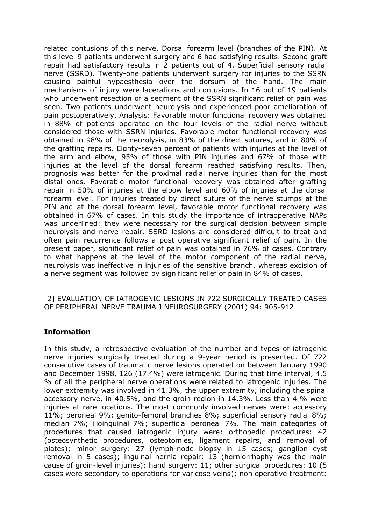related contusions of this nerve. Dorsal forearm level (branches of the PIN). At this level 9 patients underwent surgery and 6 had satisfying results. Second graft repair had satisfactory results in 2 patients out of 4. Superficial sensory radial nerve (SSRD). Twenty-one patients underwent surgery for injuries to the SSRN causing painful hypaesthesia over the dorsum of the hand. The main mechanisms of injury were lacerations and contusions. In 16 out of 19 patients who underwent resection of a segment of the SSRN significant relief of pain was seen. Two patients underwent neurolysis and experienced poor amelioration of pain postoperatively. Analysis: Favorable motor functional recovery was obtained in 88% of patients operated on the four levels of the radial nerve without considered those with SSRN injuries. Favorable motor functional recovery was obtained in 98% of the neurolysis, in 83% of the direct sutures, and in 80% of the grafting repairs. Eighty-seven percent of patients with injuries at the level of the arm and elbow, 95% of those with PIN injuries and 67% of those with injuries at the level of the dorsal forearm reached satisfying results. Then, prognosis was better for the proximal radial nerve injuries than for the most distal ones. Favorable motor functional recovery was obtained after grafting repair in 50% of injuries at the elbow level and 60% of injuries at the dorsal forearm level. For injuries treated by direct suture of the nerve stumps at the PIN and at the dorsal forearm level, favorable motor functional recovery was obtained in 67% of cases. In this study the importance of intraoperative NAPs was underlined: they were necessary for the surgical decision between simple neurolysis and nerve repair. SSRD lesions are considered difficult to treat and often pain recurrence follows a post operative significant relief of pain. In the present paper, significant relief of pain was obtained in 76% of cases. Contrary to what happens at the level of the motor component of the radial nerve, neurolysis was ineffective in injuries of the sensitive branch, whereas excision of a nerve segment was followed by significant relief of pain in 84% of cases.

#### [2] EVALUATION OF IATROGENIC LESIONS IN 722 SURGICALLY TREATED CASES OF PERIPHERAL NERVE TRAUMA J NEUROSURGERY (2001) 94: 905-912

## **Information**

In this study, a retrospective evaluation of the number and types of iatrogenic nerve injuries surgically treated during a 9-year period is presented. Of 722 consecutive cases of traumatic nerve lesions operated on between January 1990 and December 1998, 126 (17.4%) were iatrogenic. During that time interval, 4.5 % of all the peripheral nerve operations were related to iatrogenic injuries. The lower extremity was involved in 41.3%, the upper extremity, including the spinal accessory nerve, in 40.5%, and the groin region in 14.3%. Less than 4 % were injuries at rare locations. The most commonly involved nerves were: accessory 11%; peroneal 9%; genito-femoral branches 8%; superficial sensory radial 8%; median 7%; ilioinguinal 7%; superficial peroneal 7%. The main categories of procedures that caused iatrogenic injury were: orthopedic procedures: 42 (osteosynthetic procedures, osteotomies, ligament repairs, and removal of plates); minor surgery: 27 (lymph-node biopsy in 15 cases; ganglion cyst removal in 5 cases); inguinal hernia repair: 13 (herniorrhaphy was the main cause of groin-level injuries); hand surgery: 11; other surgical procedures: 10 (5 cases were secondary to operations for varicose veins); non operative treatment: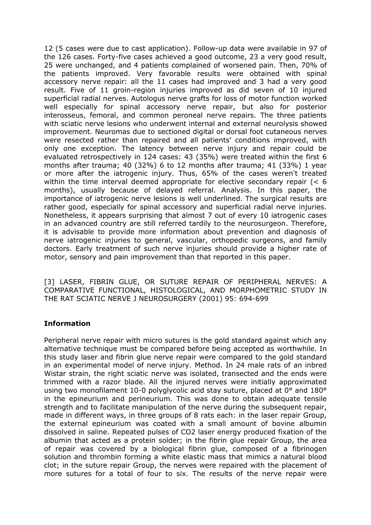12 (5 cases were due to cast application). Follow-up data were available in 97 of the 126 cases. Forty-five cases achieved a good outcome, 23 a very good result, 25 were unchanged, and 4 patients complained of worsened pain. Then, 70% of the patients improved. Very favorable results were obtained with spinal accessory nerve repair: all the 11 cases had improved and 3 had a very good result. Five of 11 groin-region injuries improved as did seven of 10 injured superficial radial nerves. Autologus nerve grafts for loss of motor function worked well especially for spinal accessory nerve repair, but also for posterior interosseus, femoral, and common peroneal nerve repairs. The three patients with sciatic nerve lesions who underwent internal and external neurolysis showed improvement. Neuromas due to sectioned digital or dorsal foot cutaneous nerves were resected rather than repaired and all patients' conditions improved, with only one exception. The latency between nerve injury and repair could be evaluated retrospectively in 124 cases: 43 (35%) were treated within the first 6 months after trauma; 40 (32%) 6 to 12 months after trauma; 41 (33%) 1 year or more after the iatrogenic injury. Thus, 65% of the cases weren't treated within the time interval deemed appropriate for elective secondary repair  $($  < 6 months), usually because of delayed referral. Analysis. In this paper, the importance of iatrogenic nerve lesions is well underlined. The surgical results are rather good, especially for spinal accessory and superficial radial nerve injuries. Nonetheless, it appears surprising that almost 7 out of every 10 iatrogenic cases in an advanced country are still referred tardily to the neurosurgeon. Therefore, it is advisable to provide more information about prevention and diagnosis of nerve iatrogenic injuries to general, vascular, orthopedic surgeons, and family doctors. Early treatment of such nerve injuries should provide a higher rate of motor, sensory and pain improvement than that reported in this paper.

[3] LASER, FIBRIN GLUE, OR SUTURE REPAIR OF PERIPHERAL NERVES: A COMPARATIVE FUNCTIONAL, HISTOLOGICAL, AND MORPHOMETRIC STUDY IN THE RAT SCIATIC NERVE J NEUROSURGERY (2001) 95: 694-699

## **Information**

Peripheral nerve repair with micro sutures is the gold standard against which any alternative technique must be compared before being accepted as worthwhile. In this study laser and fibrin glue nerve repair were compared to the gold standard in an experimental model of nerve injury. Method. In 24 male rats of an inbred Wistar strain, the right sciatic nerve was isolated, transected and the ends were trimmed with a razor blade. All the injured nerves were initially approximated using two monofilament 10-0 polyglycolic acid stay suture, placed at 0° and 180° in the epineurium and perineurium. This was done to obtain adequate tensile strength and to facilitate manipulation of the nerve during the subsequent repair, made in different ways, in three groups of 8 rats each: in the laser repair Group, the external epineurium was coated with a small amount of bovine albumin dissolved in saline. Repeated pulses of CO2 laser energy produced fixation of the albumin that acted as a protein solder; in the fibrin glue repair Group, the area of repair was covered by a biological fibrin glue, composed of a fibrinogen solution and thrombin forming a white elastic mass that mimics a natural blood clot; in the suture repair Group, the nerves were repaired with the placement of more sutures for a total of four to six. The results of the nerve repair were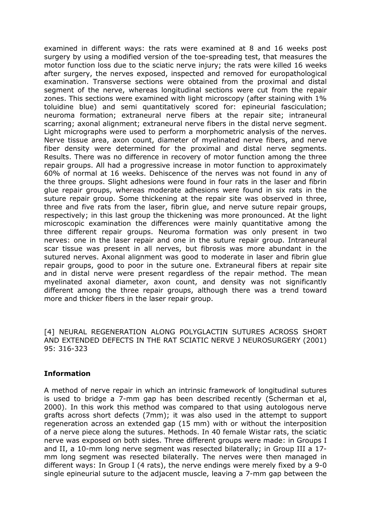examined in different ways: the rats were examined at 8 and 16 weeks post surgery by using a modified version of the toe-spreading test, that measures the motor function loss due to the sciatic nerve injury; the rats were killed 16 weeks after surgery, the nerves exposed, inspected and removed for europathological examination. Transverse sections were obtained from the proximal and distal segment of the nerve, whereas longitudinal sections were cut from the repair zones. This sections were examined with light microscopy (after staining with 1% toluidine blue) and semi quantitatively scored for: epineurial fasciculation; neuroma formation; extraneural nerve fibers at the repair site; intraneural scarring; axonal alignment; extraneural nerve fibers in the distal nerve segment. Light micrographs were used to perform a morphometric analysis of the nerves. Nerve tissue area, axon count, diameter of myelinated nerve fibers, and nerve fiber density were determined for the proximal and distal nerve segments. Results. There was no difference in recovery of motor function among the three repair groups. All had a progressive increase in motor function to approximately 60% of normal at 16 weeks. Dehiscence of the nerves was not found in any of the three groups. Slight adhesions were found in four rats in the laser and fibrin glue repair groups, whereas moderate adhesions were found in six rats in the suture repair group. Some thickening at the repair site was observed in three, three and five rats from the laser, fibrin glue, and nerve suture repair groups, respectively; in this last group the thickening was more pronounced. At the light microscopic examination the differences were mainly quantitative among the three different repair groups. Neuroma formation was only present in two nerves: one in the laser repair and one in the suture repair group. Intraneural scar tissue was present in all nerves, but fibrosis was more abundant in the sutured nerves. Axonal alignment was good to moderate in laser and fibrin glue repair groups, good to poor in the suture one. Extraneural fibers at repair site and in distal nerve were present regardless of the repair method. The mean myelinated axonal diameter, axon count, and density was not significantly different among the three repair groups, although there was a trend toward more and thicker fibers in the laser repair group.

[4] NEURAL REGENERATION ALONG POLYGLACTIN SUTURES ACROSS SHORT AND EXTENDED DEFECTS IN THE RAT SCIATIC NERVE J NEUROSURGERY (2001) 95: 316-323

#### **Information**

A method of nerve repair in which an intrinsic framework of longitudinal sutures is used to bridge a 7-mm gap has been described recently (Scherman et al, 2000). In this work this method was compared to that using autologous nerve grafts across short defects (7mm); it was also used in the attempt to support regeneration across an extended gap (15 mm) with or without the interposition of a nerve piece along the sutures. Methods. In 40 female Wistar rats, the sciatic nerve was exposed on both sides. Three different groups were made: in Groups I and II, a 10-mm long nerve segment was resected bilaterally; in Group III a 17 mm long segment was resected bilaterally. The nerves were then managed in different ways: In Group I (4 rats), the nerve endings were merely fixed by a 9-0 single epineurial suture to the adjacent muscle, leaving a 7-mm gap between the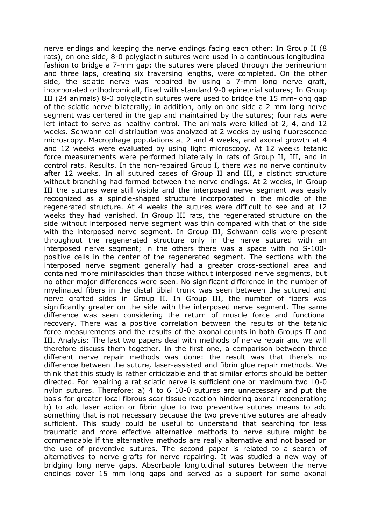nerve endings and keeping the nerve endings facing each other; In Group II (8 rats), on one side, 8-0 polyglactin sutures were used in a continuous longitudinal fashion to bridge a 7-mm gap; the sutures were placed through the perineurium and three laps, creating six traversing lengths, were completed. On the other side, the sciatic nerve was repaired by using a 7-mm long nerve graft, incorporated orthodromicall, fixed with standard 9-0 epineurial sutures; In Group III (24 animals) 8-0 polyglactin sutures were used to bridge the 15 mm-long gap of the sciatic nerve bilaterally; in addition, only on one side a 2 mm long nerve segment was centered in the gap and maintained by the sutures; four rats were left intact to serve as healthy control. The animals were killed at 2, 4, and 12 weeks. Schwann cell distribution was analyzed at 2 weeks by using fluorescence microscopy. Macrophage populations at 2 and 4 weeks, and axonal growth at 4 and 12 weeks were evaluated by using light microscopy. At 12 weeks tetanic force measurements were performed bilaterally in rats of Group II, III, and in control rats. Results. In the non-repaired Group I, there was no nerve continuity after 12 weeks. In all sutured cases of Group II and III, a distinct structure without branching had formed between the nerve endings. At 2 weeks, in Group III the sutures were still visible and the interposed nerve segment was easily recognized as a spindle-shaped structure incorporated in the middle of the regenerated structure. At 4 weeks the sutures were difficult to see and at 12 weeks they had vanished. In Group III rats, the regenerated structure on the side without interposed nerve segment was thin compared with that of the side with the interposed nerve segment. In Group III, Schwann cells were present throughout the regenerated structure only in the nerve sutured with an interposed nerve segment; in the others there was a space with no S-100 positive cells in the center of the regenerated segment. The sections with the interposed nerve segment generally had a greater cross-sectional area and contained more minifascicles than those without interposed nerve segments, but no other major differences were seen. No significant difference in the number of myelinated fibers in the distal tibial trunk was seen between the sutured and nerve grafted sides in Group II. In Group III, the number of fibers was significantly greater on the side with the interposed nerve segment. The same difference was seen considering the return of muscle force and functional recovery. There was a positive correlation between the results of the tetanic force measurements and the results of the axonal counts in both Groups II and III. Analysis: The last two papers deal with methods of nerve repair and we will therefore discuss them together. In the first one, a comparison between three different nerve repair methods was done: the result was that there's no difference between the suture, laser-assisted and fibrin glue repair methods. We think that this study is rather criticizable and that similar efforts should be better directed. For repairing a rat sciatic nerve is sufficient one or maximum two 10-0 nylon sutures. Therefore: a) 4 to 6 10-0 sutures are unnecessary and put the basis for greater local fibrous scar tissue reaction hindering axonal regeneration; b) to add laser action or fibrin glue to two preventive sutures means to add something that is not necessary because the two preventive sutures are already sufficient. This study could be useful to understand that searching for less traumatic and more effective alternative methods to nerve suture might be commendable if the alternative methods are really alternative and not based on the use of preventive sutures. The second paper is related to a search of alternatives to nerve grafts for nerve repairing. It was studied a new way of bridging long nerve gaps. Absorbable longitudinal sutures between the nerve endings cover 15 mm long gaps and served as a support for some axonal